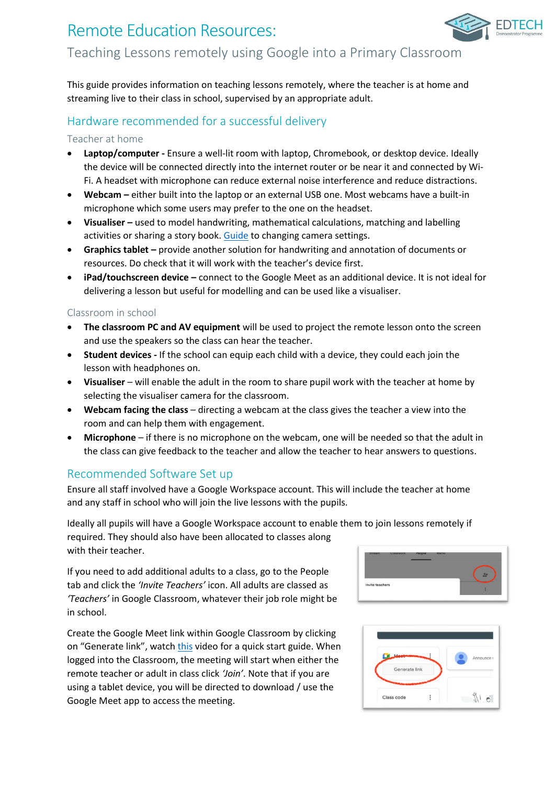# Remote Education Resources: Teaching Lessons remotely using Google into a Primary Classroom

This guide provides information on teaching lessons remotely, where the teacher is at home and streaming live to their class in school, supervised by an appropriate adult.

## Hardware recommended for a successful delivery

### Teacher at home

- **Laptop/computer -** Ensure a well-lit room with laptop, Chromebook, or desktop device. Ideally the device will be connected directly into the internet router or be near it and connected by Wi-Fi. A headset with microphone can reduce external noise interference and reduce distractions.
- **Webcam –** either built into the laptop or an external USB one. Most webcams have a built-in microphone which some users may prefer to the one on the headset.
- **Visualiser –** used to model handwriting, mathematical calculations, matching and labelling activities or sharing a story book. [Guide](https://support.google.com/meet/answer/9302964?hl=en&co=GENIE.Platform=Desktop) to changing camera settings.
- **Graphics tablet –** provide another solution for handwriting and annotation of documents or resources. Do check that it will work with the teacher's device first.
- **iPad/touchscreen device –** connect to the Google Meet as an additional device. It is not ideal for delivering a lesson but useful for modelling and can be used like a visualiser.

### Classroom in school

- **The classroom PC and AV equipment** will be used to project the remote lesson onto the screen and use the speakers so the class can hear the teacher.
- **Student devices -** If the school can equip each child with a device, they could each join the lesson with headphones on.
- **Visualiser** will enable the adult in the room to share pupil work with the teacher at home by selecting the visualiser camera for the classroom.
- **Webcam facing the class** directing a webcam at the class gives the teacher a view into the room and can help them with engagement.
- **Microphone** if there is no microphone on the webcam, one will be needed so that the adult in the class can give feedback to the teacher and allow the teacher to hear answers to questions.

### Recommended Software Set up

Ensure all staff involved have a Google Workspace account. This will include the teacher at home and any staff in school who will join the live lessons with the pupils.

Ideally all pupils will have a Google Workspace account to enable them to join lessons remotely if required. They should also have been allocated to classes along with their teacher.

If you need to add additional adults to a class, go to the People tab and click the *'Invite Teachers'* icon. All adults are classed as *'Teachers'* in Google Classroom, whatever their job role might be in school.

Create the Google Meet link within Google Classroom by clicking on "Generate link", watch [this](https://www.youtube.com/watch?v=71BAeZZvDKs) video for a quick start guide. When logged into the Classroom, the meeting will start when either the remote teacher or adult in class click *'Join'*. Note that if you are using a tablet device, you will be directed to download / use the Google Meet app to access the meeting.